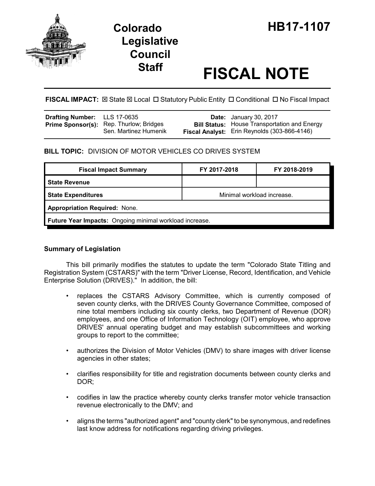

# **Legislative Council**

# **Staff FISCAL NOTE**

**FISCAL IMPACT:**  $\boxtimes$  **State**  $\boxtimes$  **Local □ Statutory Public Entity □ Conditional □ No Fiscal Impact** 

| <b>Drafting Number:</b> LLS 17-0635 |                                                                         | <b>Date:</b> January 30, 2017                                                                       |
|-------------------------------------|-------------------------------------------------------------------------|-----------------------------------------------------------------------------------------------------|
|                                     | <b>Prime Sponsor(s):</b> Rep. Thurlow; Bridges<br>Sen. Martinez Humenik | <b>Bill Status:</b> House Transportation and Energy<br>Fiscal Analyst: Erin Reynolds (303-866-4146) |

## **BILL TOPIC:** DIVISION OF MOTOR VEHICLES CO DRIVES SYSTEM

| <b>Fiscal Impact Summary</b>                            | FY 2017-2018               | FY 2018-2019 |  |  |  |
|---------------------------------------------------------|----------------------------|--------------|--|--|--|
| <b>State Revenue</b>                                    |                            |              |  |  |  |
| <b>State Expenditures</b>                               | Minimal workload increase. |              |  |  |  |
| <b>Appropriation Required: None.</b>                    |                            |              |  |  |  |
| Future Year Impacts: Ongoing minimal workload increase. |                            |              |  |  |  |

### **Summary of Legislation**

This bill primarily modifies the statutes to update the term "Colorado State Titling and Registration System (CSTARS)" with the term "Driver License, Record, Identification, and Vehicle Enterprise Solution (DRIVES)." In addition, the bill:

- replaces the CSTARS Advisory Committee, which is currently composed of seven county clerks, with the DRIVES County Governance Committee, composed of nine total members including six county clerks, two Department of Revenue (DOR) employees, and one Office of Information Technology (OIT) employee, who approve DRIVES' annual operating budget and may establish subcommittees and working groups to report to the committee;
- authorizes the Division of Motor Vehicles (DMV) to share images with driver license agencies in other states;
- clarifies responsibility for title and registration documents between county clerks and DOR;
- codifies in law the practice whereby county clerks transfer motor vehicle transaction revenue electronically to the DMV; and
- aligns the terms "authorized agent" and "county clerk" to be synonymous, and redefines last know address for notifications regarding driving privileges.